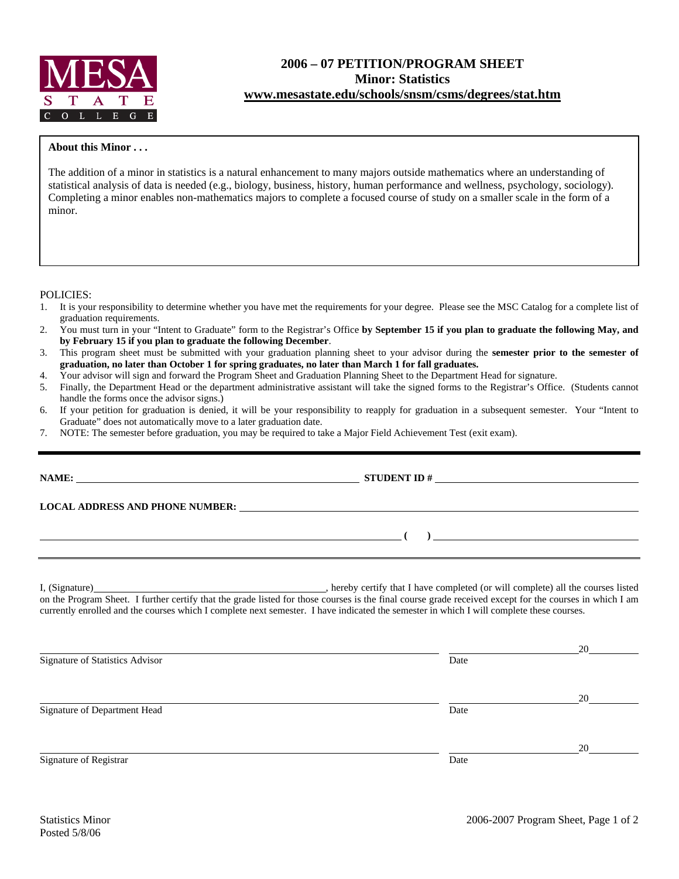

## **2006 – 07 PETITION/PROGRAM SHEET Minor: Statistics www.mesastate.edu/schools/snsm/csms/degrees/stat.htm**

## **About this Minor . . .**

The addition of a minor in statistics is a natural enhancement to many majors outside mathematics where an understanding of statistical analysis of data is needed (e.g., biology, business, history, human performance and wellness, psychology, sociology). Completing a minor enables non-mathematics majors to complete a focused course of study on a smaller scale in the form of a minor.

POLICIES:

- 1. It is your responsibility to determine whether you have met the requirements for your degree. Please see the MSC Catalog for a complete list of graduation requirements.
- 2. You must turn in your "Intent to Graduate" form to the Registrar's Office **by September 15 if you plan to graduate the following May, and by February 15 if you plan to graduate the following December**.
- 3. This program sheet must be submitted with your graduation planning sheet to your advisor during the **semester prior to the semester of graduation, no later than October 1 for spring graduates, no later than March 1 for fall graduates.**
- 4. Your advisor will sign and forward the Program Sheet and Graduation Planning Sheet to the Department Head for signature.
- 5. Finally, the Department Head or the department administrative assistant will take the signed forms to the Registrar's Office. (Students cannot handle the forms once the advisor signs.)
- 6. If your petition for graduation is denied, it will be your responsibility to reapply for graduation in a subsequent semester. Your "Intent to Graduate" does not automatically move to a later graduation date.
- 7. NOTE: The semester before graduation, you may be required to take a Major Field Achievement Test (exit exam).

| LOCAL ADDRESS AND PHONE NUMBER: University of the contract of the contract of the contract of the contract of                                                                                                                                                                                       |  |
|-----------------------------------------------------------------------------------------------------------------------------------------------------------------------------------------------------------------------------------------------------------------------------------------------------|--|
|                                                                                                                                                                                                                                                                                                     |  |
| on the Program Sheet. I further certify that the grade listed for those courses is the final course grade received except for the courses in which I am<br>currently enrolled and the courses which I complete next semester. I have indicated the semester in which I will complete these courses. |  |

|                                 |      | 20 |
|---------------------------------|------|----|
| Signature of Statistics Advisor | Date |    |
|                                 |      | 20 |
| Signature of Department Head    | Date |    |
|                                 |      | 20 |
| Signature of Registrar          | Date |    |